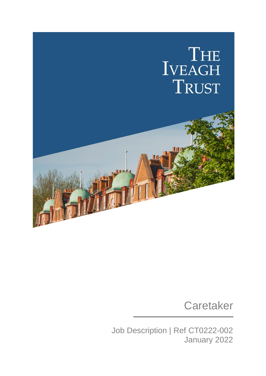

## **Caretaker**

Job Description | Ref CT0222-002 January 2022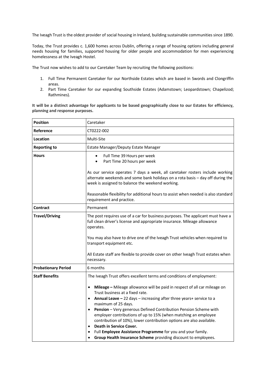The Iveagh Trust is the oldest provider of social housing in Ireland, building sustainable communities since 1890.

Today, the Trust provides c. 1,600 homes across Dublin, offering a range of housing options including general needs housing for families, supported housing for older people and accommodation for men experiencing homelessness at the Iveagh Hostel.

The Trust now wishes to add to our Caretaker Team by recruiting the following positions:

- 1. Full Time Permanent Caretaker for our Northside Estates which are based in Swords and Clongriffin areas.
- 2. Part Time Caretaker for our expanding Southside Estates (Adamstown; Leopardstown; Chapelizod; Rathmines).

**It will be a distinct advantage for applicants to be based geographically close to our Estates for efficiency, planning and response purposes.**

| <b>Position</b>            | Caretaker                                                                                                                                                                                                                                                                                                                                                                                                                                                                                                                                                                                                                                                                                 |
|----------------------------|-------------------------------------------------------------------------------------------------------------------------------------------------------------------------------------------------------------------------------------------------------------------------------------------------------------------------------------------------------------------------------------------------------------------------------------------------------------------------------------------------------------------------------------------------------------------------------------------------------------------------------------------------------------------------------------------|
| Reference                  | CT0222-002                                                                                                                                                                                                                                                                                                                                                                                                                                                                                                                                                                                                                                                                                |
| Location                   | Multi-Site                                                                                                                                                                                                                                                                                                                                                                                                                                                                                                                                                                                                                                                                                |
| <b>Reporting to</b>        | Estate Manager/Deputy Estate Manager                                                                                                                                                                                                                                                                                                                                                                                                                                                                                                                                                                                                                                                      |
| <b>Hours</b>               | Full Time 39 Hours per week<br>$\bullet$<br>Part Time 20 hours per week<br>As our service operates 7 days a week, all caretaker rosters include working<br>alternate weekends and some bank holidays on a rota basis - day off during the<br>week is assigned to balance the weekend working.<br>Reasonable flexibility for additional hours to assist when needed is also standard<br>requirement and practice.                                                                                                                                                                                                                                                                          |
| <b>Contract</b>            | Permanent                                                                                                                                                                                                                                                                                                                                                                                                                                                                                                                                                                                                                                                                                 |
| <b>Travel/Driving</b>      | The post requires use of a car for business purposes. The applicant must have a<br>full clean driver's license and appropriate insurance. Mileage allowance<br>operates.<br>You may also have to drive one of the Iveagh Trust vehicles when required to<br>transport equipment etc.<br>All Estate staff are flexible to provide cover on other Iveagh Trust estates when<br>necessary.                                                                                                                                                                                                                                                                                                   |
| <b>Probationary Period</b> | 6 months                                                                                                                                                                                                                                                                                                                                                                                                                                                                                                                                                                                                                                                                                  |
| <b>Staff Benefits</b>      | The Iveagh Trust offers excellent terms and conditions of employment:<br>Mileage - Mileage allowance will be paid in respect of all car mileage on<br>Trust business at a fixed rate.<br>Annual Leave $-22$ days $-$ increasing after three years+ service to a<br>$\bullet$<br>maximum of 25 days.<br>Pension - Very generous Defined Contribution Pension Scheme with<br>employer contributions of up to 15% (when matching an employee<br>contribution of 10%), lower contribution options are also available.<br><b>Death in Service Cover.</b><br>Full Employee Assistance Programme for you and your family.<br>Group Health Insurance Scheme providing discount to employees.<br>٠ |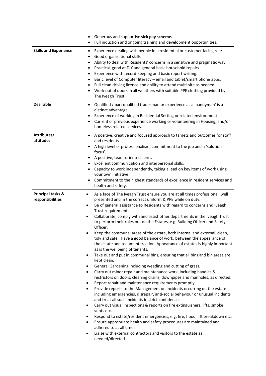|                                                  | Generous and supportive sick pay scheme.<br>$\bullet$<br>Full induction and ongoing training and development opportunities.<br>٠                                                                                                                                                                                                                                                                                                                                                                                                                                                                                                                                                                                                                                                                                                                                                                                                                                                                                                                                                                                                                                                                                                                                                                                                                                                                                                                                                                                                                                                                                                                                                                                                                                                                        |
|--------------------------------------------------|---------------------------------------------------------------------------------------------------------------------------------------------------------------------------------------------------------------------------------------------------------------------------------------------------------------------------------------------------------------------------------------------------------------------------------------------------------------------------------------------------------------------------------------------------------------------------------------------------------------------------------------------------------------------------------------------------------------------------------------------------------------------------------------------------------------------------------------------------------------------------------------------------------------------------------------------------------------------------------------------------------------------------------------------------------------------------------------------------------------------------------------------------------------------------------------------------------------------------------------------------------------------------------------------------------------------------------------------------------------------------------------------------------------------------------------------------------------------------------------------------------------------------------------------------------------------------------------------------------------------------------------------------------------------------------------------------------------------------------------------------------------------------------------------------------|
| <b>Skills and Experience</b>                     | Experience dealing with people in a residential or customer facing role.<br>$\bullet$<br>Good organisational skills.<br>Ability to deal with Residents' concerns in a sensitive and pragmatic way.<br>$\bullet$<br>Practical, good at DIY and general basic household repairs.<br>Experience with record-keeping and basic report writing.<br>٠<br>Basic level of Computer literacy - email and tablet/smart phone apps.<br>Full clean driving licence and ability to attend multi-site as needed.<br>$\bullet$<br>Work out of doors in all weathers with suitable PPE clothing provided by<br>The Iveagh Trust.                                                                                                                                                                                                                                                                                                                                                                                                                                                                                                                                                                                                                                                                                                                                                                                                                                                                                                                                                                                                                                                                                                                                                                                        |
| <b>Desirable</b>                                 | Qualified / part qualified tradesman or experience as a 'handyman' is a<br>distinct advantage.<br>Experience of working in Residential Setting or related environment.<br>Current or previous experience working or volunteering in Housing, and/or<br>homeless related services.                                                                                                                                                                                                                                                                                                                                                                                                                                                                                                                                                                                                                                                                                                                                                                                                                                                                                                                                                                                                                                                                                                                                                                                                                                                                                                                                                                                                                                                                                                                       |
| Attributes/<br>attitudes                         | A positive, creative and focused approach to targets and outcomes for staff<br>$\bullet$<br>and residents.<br>A high level of professionalism, commitment to the job and a 'solution<br>focus'.<br>A positive, team-oriented spirit.<br>Excellent communication and interpersonal skills.<br>Capacity to work independently, taking a lead on key items of work using<br>your own initiative.<br>Commitment to the highest standards of excellence in resident services and<br>health and safety.                                                                                                                                                                                                                                                                                                                                                                                                                                                                                                                                                                                                                                                                                                                                                                                                                                                                                                                                                                                                                                                                                                                                                                                                                                                                                                       |
| <b>Principal tasks &amp;</b><br>responsibilities | As a face of The Iveagh Trust ensure you are at all times professional, well<br>$\bullet$<br>presented and in the correct uniform & PPE while on duty.<br>Be of general assistance to Residents with regard to concerns and Iveagh<br>$\bullet$<br>Trust requirements.<br>Collaborate, comply with and assist other departments in the Iveagh Trust<br>$\bullet$<br>to perform their roles out on the Estates, e.g. Building Officer and Safety<br>Officer.<br>Keep the communal areas of the estate, both internal and external, clean,<br>tidy and safe. Have a good balance of work, between the appearance of<br>the estate and tenant interaction. Appearance of estates is highly important<br>as is the wellbeing of tenants.<br>Take out and put in communal bins, ensuring that all bins and bin areas are<br>$\bullet$<br>kept clean.<br>General Gardening including weeding and cutting of grass.<br>$\bullet$<br>Carry out minor repair and maintenance work, including handles &<br>$\bullet$<br>restrictors on doors, cleaning drains, downpipes and manholes, as directed.<br>Report repair and maintenance requirements promptly.<br>$\bullet$<br>Provide reports to the Management on incidents occurring on the estate<br>$\bullet$<br>including emergencies, disrepair, anti-social behaviour or unusual incidents<br>and treat all such incidents in strict confidence.<br>Carry out visual inspections & reports on fire extinguishers, lifts, smoke<br>vents etc.<br>Respond to estate/resident emergencies, e.g. fire, flood, lift breakdown etc.<br>$\bullet$<br>Ensure appropriate health and safety procedures are maintained and<br>$\bullet$<br>adhered to at all times.<br>Liaise with external contractors and visitors to the estate as<br>$\bullet$<br>needed/directed. |